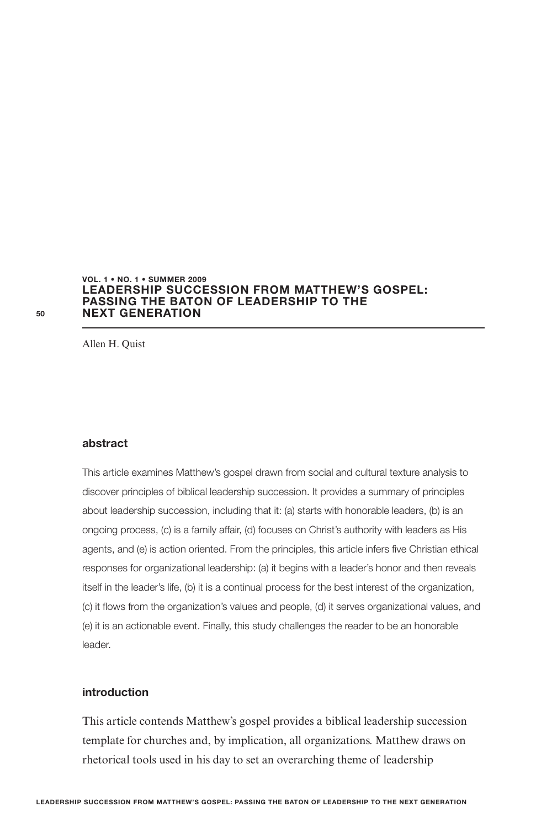#### **LEADERSHIP SUCCESSION FROM MATTHEW'S GOSPEL: PASSING THE BATON OF LEADERSHIP TO THE NEXT GENERATION VOL. 1 • NO. 1 • SUMMER 2009**

Allen H. Quist

### **abstract**

This article examines Matthew's gospel drawn from social and cultural texture analysis to discover principles of biblical leadership succession. It provides a summary of principles about leadership succession, including that it: (a) starts with honorable leaders, (b) is an ongoing process, (c) is a family affair, (d) focuses on Christ's authority with leaders as His agents, and (e) is action oriented. From the principles, this article infers five Christian ethical responses for organizational leadership: (a) it begins with a leader's honor and then reveals itself in the leader's life, (b) it is a continual process for the best interest of the organization, (c) it flows from the organization's values and people, (d) it serves organizational values, and (e) it is an actionable event. Finally, this study challenges the reader to be an honorable leader.

# **introduction**

This article contends Matthew's gospel provides a biblical leadership succession template for churches and, by implication, all organizations. Matthew draws on rhetorical tools used in his day to set an overarching theme of leadership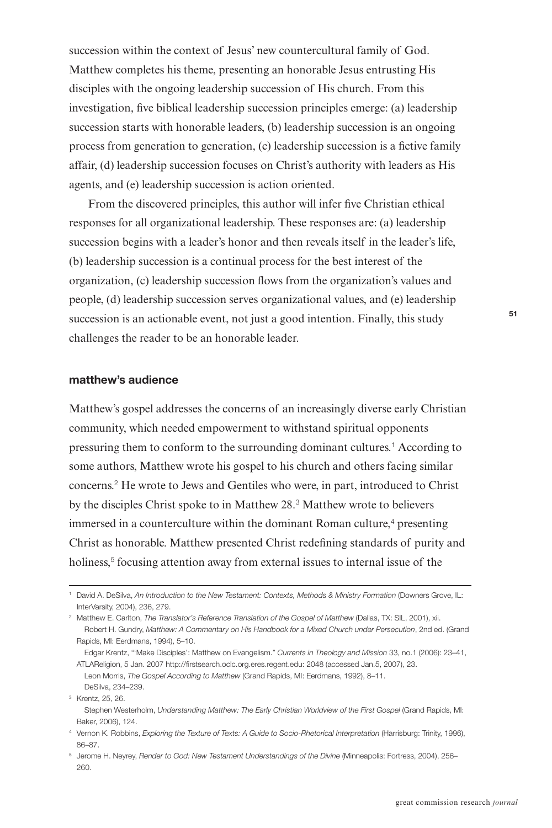succession within the context of Jesus' new countercultural family of God. Matthew completes his theme, presenting an honorable Jesus entrusting His disciples with the ongoing leadership succession of His church. From this investigation, five biblical leadership succession principles emerge: (a) leadership succession starts with honorable leaders, (b) leadership succession is an ongoing process from generation to generation, (c) leadership succession is a fictive family affair, (d) leadership succession focuses on Christ's authority with leaders as His agents, and (e) leadership succession is action oriented.

From the discovered principles, this author will infer five Christian ethical responses for all organizational leadership. These responses are: (a) leadership succession begins with a leader's honor and then reveals itself in the leader's life, (b) leadership succession is a continual process for the best interest of the organization, (c) leadership succession Hows from the organization's values and people, (d) leadership succession serves organizational values, and (e) leadership succession is an actionable event, not just a good intention. Finally, this study challenges the reader to be an honorable leader.

# **matthew's audience**

Matthew's gospel addresses the concerns of an increasingly diverse early Christian community, which needed empowerment to withstand spiritual opponents pressuring them to conform to the surrounding dominant cultures.<sup>1</sup> According to some authors, Matthew wrote his gospel to his church and others facing similar concerns.<sup>2</sup> He wrote to Jews and Gentiles who were, in part, introduced to Christ by the disciples Christ spoke to in Matthew 28.<sup>3</sup> Matthew wrote to believers immersed in a counterculture within the dominant Roman culture,<sup>4</sup> presenting Christ as honorable. Matthew presented Christ redefining standards of purity and holiness,<sup>5</sup> focusing attention away from external issues to internal issue of the

<sup>&</sup>lt;sup>1</sup> David A. DeSilva, An Introduction to the New Testament: Contexts, Methods & Ministry Formation (Downers Grove, IL: InterVarsity, 2004), 236, 279.

<sup>&</sup>lt;sup>2</sup> Matthew E. Carlton, The Translator's Reference Translation of the Gospel of Matthew (Dallas, TX: SIL, 2001), xii. Robert H. Gundry, Matthew: A Commentary on His Handbook for a Mixed Church under Persecution, 2nd ed. (Grand Rapids, MI: Eerdmans, 1994), 5–10.

Edgar Krentz, "'Make Disciples': Matthew on Evangelism." Currents in Theology and Mission 33, no.1 (2006): 23–41, ATLAReligion, 5 Jan. 2007 http://firstsearch.oclc.org.eres.regent.edu: 2048 (accessed Jan.5, 2007), 23. Leon Morris, The Gospel According to Matthew (Grand Rapids, MI: Eerdmans, 1992), 8–11. DeSilva, 234–239.

<sup>3</sup> Krentz, 25, 26.

Stephen Westerholm, Understanding Matthew: The Early Christian Worldview of the First Gospel (Grand Rapids, MI: Baker, 2006), 124.

<sup>4</sup> Vernon K. Robbins, Exploring the Texture of Texts: A Guide to Socio-Rhetorical Interpretation (Harrisburg: Trinity, 1996), 86–87.

<sup>5</sup> Jerome H. Neyrey, Render to God: New Testament Understandings of the Divine (Minneapolis: Fortress, 2004), 256– 260.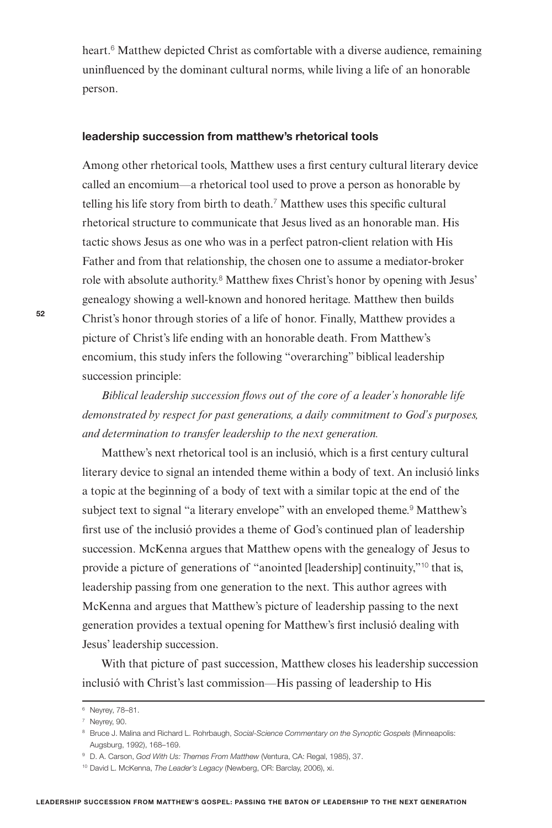heart.<sup>6</sup> Matthew depicted Christ as comfortable with a diverse audience, remaining uninHuenced by the dominant cultural norms, while living a life of an honorable person.

# **leadership succession from matthew's rhetorical tools**

Among other rhetorical tools, Matthew uses a first century cultural literary device called an encomium—a rhetorical tool used to prove a person as honorable by telling his life story from birth to death.<sup>7</sup> Matthew uses this specific cultural rhetorical structure to communicate that Jesus lived as an honorable man. His tactic shows Jesus as one who was in a perfect patron-client relation with His Father and from that relationship, the chosen one to assume a mediator-broker role with absolute authority.<sup>8</sup> Matthew fixes Christ's honor by opening with Jesus' genealogy showing a well-known and honored heritage. Matthew then builds Christ's honor through stories of a life of honor. Finally, Matthew provides a picture of Christ's life ending with an honorable death. From Matthew's encomium, this study infers the following "overarching" biblical leadership succession principle:

*Biblical leadership succession flows out of the core of a leader's honorable life demonstrated by respect for past generations, a daily commitment to God's purposes, and determination to transfer leadership to the next generation.*

Matthew's next rhetorical tool is an inclusió, which is a first century cultural literary device to signal an intended theme within a body of text. An inclusió links a topic at the beginning of a body of text with a similar topic at the end of the subject text to signal "a literary envelope" with an enveloped theme.<sup>9</sup> Matthew's first use of the inclusió provides a theme of God's continued plan of leadership succession. McKenna argues that Matthew opens with the genealogy of Jesus to provide a picture of generations of "anointed [leadership] continuity,"<sup>10</sup> that is, leadership passing from one generation to the next. This author agrees with McKenna and argues that Matthew's picture of leadership passing to the next generation provides a textual opening for Matthew's first inclusió dealing with Jesus' leadership succession.

With that picture of past succession, Matthew closes his leadership succession inclusió with Christ's last commission—His passing of leadership to His

<sup>6</sup> Neyrey, 78–81.

<sup>7</sup> Neyrey, 90.

<sup>8</sup> Bruce J. Malina and Richard L. Rohrbaugh, Social-Science Commentary on the Synoptic Gospels (Minneapolis: Augsburg, 1992), 168–169.

<sup>9</sup> D. A. Carson, God With Us: Themes From Matthew (Ventura, CA: Regal, 1985), 37.

<sup>&</sup>lt;sup>10</sup> David L. McKenna, The Leader's Legacy (Newberg, OR: Barclay, 2006), xi.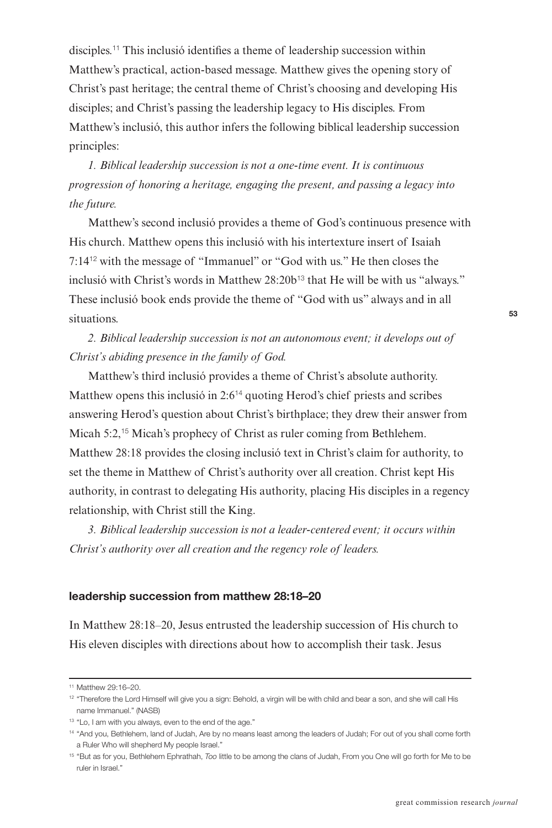disciples.<sup>11</sup> This inclusió identifies a theme of leadership succession within Matthew's practical, action-based message. Matthew gives the opening story of Christ's past heritage; the central theme of Christ's choosing and developing His disciples; and Christ's passing the leadership legacy to His disciples. From Matthew's inclusió, this author infers the following biblical leadership succession principles:

*1. Biblical leadership succession is not a one-time event. It is continuous progression of honoring a heritage, engaging the present, and passing a legacy into the future.*

Matthew's second inclusió provides a theme of God's continuous presence with His church. Matthew opens this inclusió with his intertexture insert of Isaiah 7:14<sup>12</sup> with the message of "Immanuel" or "God with us." He then closes the inclusió with Christ's words in Matthew 28:20b<sup>13</sup> that He will be with us "always." These inclusió book ends provide the theme of "God with us" always and in all situations.

*2. Biblical leadership succession is not an autonomous event; it develops out of Christ's abiding presence in the family of God.*

Matthew's third inclusió provides a theme of Christ's absolute authority. Matthew opens this inclusió in 2:6<sup>14</sup> quoting Herod's chief priests and scribes answering Herod's question about Christ's birthplace; they drew their answer from Micah 5:2,<sup>15</sup> Micah's prophecy of Christ as ruler coming from Bethlehem. Matthew 28:18 provides the closing inclusió text in Christ's claim for authority, to set the theme in Matthew of Christ's authority over all creation. Christ kept His authority, in contrast to delegating His authority, placing His disciples in a regency relationship, with Christ still the King.

*3. Biblical leadership succession is not a leader-centered event; it occurs within Christ's authority over all creation and the regency role of leaders.*

# **leadership succession from matthew 28:18–20**

In Matthew 28:18–20, Jesus entrusted the leadership succession of His church to His eleven disciples with directions about how to accomplish their task. Jesus

<sup>11</sup> Matthew 29:16–20.

<sup>&</sup>lt;sup>12</sup> "Therefore the Lord Himself will give you a sign: Behold, a virgin will be with child and bear a son, and she will call His name Immanuel." (NASB)

<sup>13</sup> "Lo, I am with you always, even to the end of the age."

<sup>14</sup> "And you, Bethlehem, land of Judah, Are by no means least among the leaders of Judah; For out of you shall come forth a Ruler Who will shepherd My people Israel."

<sup>&</sup>lt;sup>15</sup> "But as for you, Bethlehem Ephrathah, Too little to be among the clans of Judah, From you One will go forth for Me to be ruler in Israel."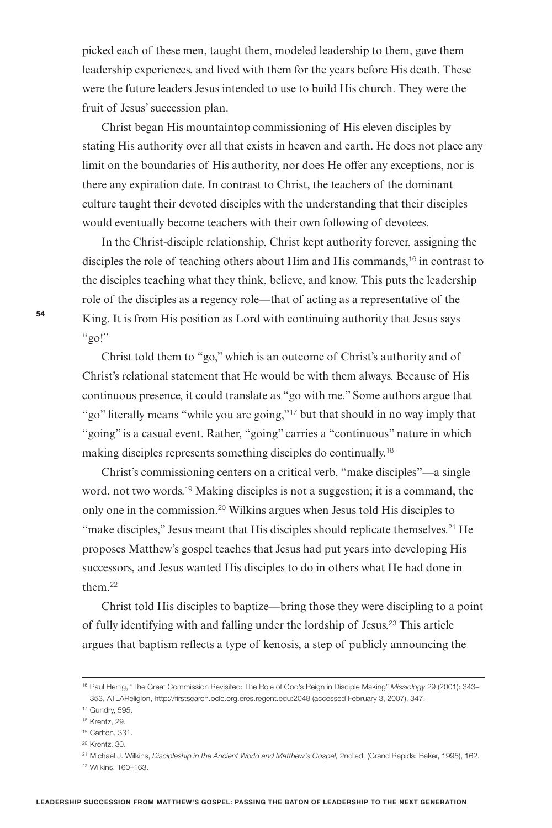picked each of these men, taught them, modeled leadership to them, gave them leadership experiences, and lived with them for the years before His death. These were the future leaders Jesus intended to use to build His church. They were the fruit of Jesus' succession plan.

Christ began His mountaintop commissioning of His eleven disciples by stating His authority over all that exists in heaven and earth. He does not place any limit on the boundaries of His authority, nor does He offer any exceptions, nor is there any expiration date. In contrast to Christ, the teachers of the dominant culture taught their devoted disciples with the understanding that their disciples would eventually become teachers with their own following of devotees.

In the Christ-disciple relationship, Christ kept authority forever, assigning the disciples the role of teaching others about Him and His commands,<sup>16</sup> in contrast to the disciples teaching what they think, believe, and know. This puts the leadership role of the disciples as a regency role—that of acting as a representative of the King. It is from His position as Lord with continuing authority that Jesus says " $g_0$ !"

Christ told them to "go," which is an outcome of Christ's authority and of Christ's relational statement that He would be with them always. Because of His continuous presence, it could translate as "go with me." Some authors argue that "go" literally means "while you are going,"<sup>17</sup> but that should in no way imply that "going" is a casual event. Rather, "going" carries a "continuous" nature in which making disciples represents something disciples do continually.<sup>18</sup>

Christ's commissioning centers on a critical verb, "make disciples"—a single word, not two words.<sup>19</sup> Making disciples is not a suggestion; it is a command, the only one in the commission.<sup>20</sup> Wilkins argues when Jesus told His disciples to "make disciples," Jesus meant that His disciples should replicate themselves.<sup>21</sup> He proposes Matthew's gospel teaches that Jesus had put years into developing His successors, and Jesus wanted His disciples to do in others what He had done in them.<sup>22</sup>

Christ told His disciples to baptize—bring those they were discipling to a point of fully identifying with and falling under the lordship of Jesus.<sup>23</sup> This article argues that baptism reHects a type of kenosis, a step of publicly announcing the

<sup>16</sup> Paul Hertig, "The Great Commission Revisited: The Role of God's Reign in Disciple Making" Missiology 29 (2001): 343-353, ATLAReligion, http://firstsearch.oclc.org.eres.regent.edu:2048 (accessed February 3, 2007), 347.

<sup>17</sup> Gundry, 595.

<sup>18</sup> Krentz, 29.

<sup>19</sup> Carlton, 331.

<sup>20</sup> Krentz, 30.

<sup>&</sup>lt;sup>21</sup> Michael J. Wilkins, Discipleship in the Ancient World and Matthew's Gospel, 2nd ed. (Grand Rapids: Baker, 1995), 162. <sup>22</sup> Wilkins, 160–163.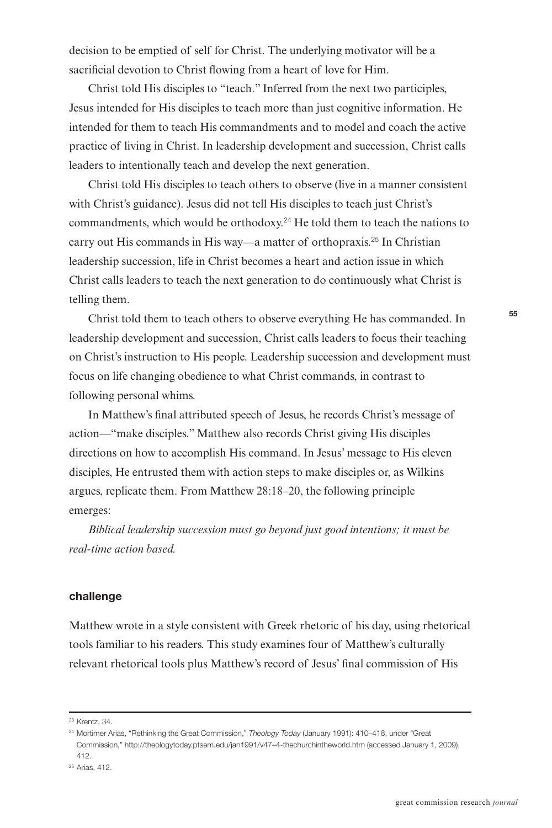decision to be emptied of self for Christ. The underlying motivator will be a sacrificial devotion to Christ flowing from a heart of love for Him.

Christ told His disciples to "teach." Inferred from the next two participles, Jesus intended for His disciples to teach more than just cognitive information. He intended for them to teach His commandments and to model and coach the active practice of living in Christ. In leadership development and succession, Christ calls leaders to intentionally teach and develop the next generation.

Christ told His disciples to teach others to observe (live in a manner consistent with Christ's guidance). Jesus did not tell His disciples to teach just Christ's commandments, which would be orthodoxy.<sup>24</sup> He told them to teach the nations to carry out His commands in His way—a matter of orthopraxis.<sup>25</sup> In Christian leadership succession, life in Christ becomes a heart and action issue in which Christ calls leaders to teach the next generation to do continuously what Christ is telling them.

Christ told them to teach others to observe everything He has commanded. In leadership development and succession, Christ calls leaders to focus their teaching on Christ's instruction to His people. Leadership succession and development must focus on life changing obedience to what Christ commands, in contrast to following personal whims.

In Matthew's final attributed speech of Jesus, he records Christ's message of action—"make disciples." Matthew also records Christ giving His disciples directions on how to accomplish His command. In Jesus' message to His eleven disciples, He entrusted them with action steps to make disciples or, as Wilkins argues, replicate them. From Matthew 28:18–20, the following principle emerges:

*Biblical leadership succession must go beyond just good intentions; it must be real-time action based.*

#### **challenge**

Matthew wrote in a style consistent with Greek rhetoric of his day, using rhetorical tools familiar to his readers. This study examines four of Matthew's culturally relevant rhetorical tools plus Matthew's record of Jesus' final commission of His

<sup>23</sup> Krentz, 34.

<sup>&</sup>lt;sup>24</sup> Mortimer Arias, "Rethinking the Great Commission," Theology Today (January 1991): 410-418, under "Great Commission," http://theologytoday.ptsem.edu/jan1991/v47–4-thechurchintheworld.htm (accessed January 1, 2009), 412.

<sup>25</sup> Arias, 412.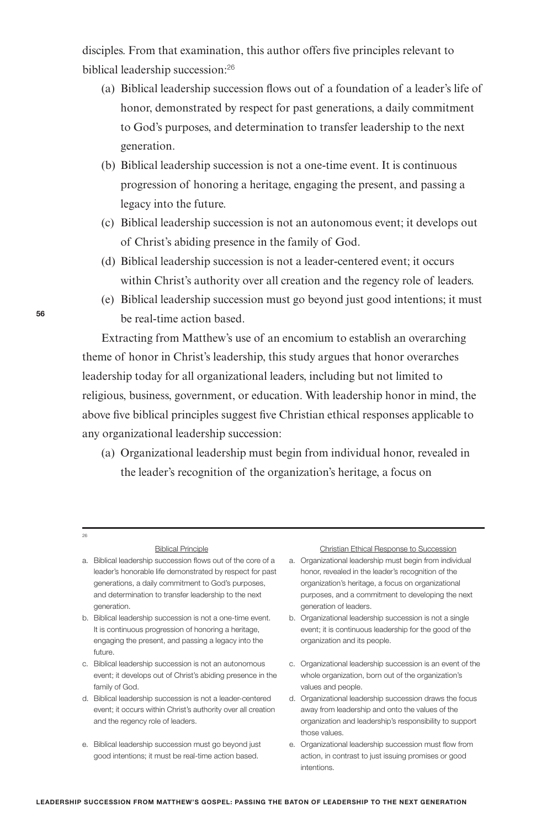disciples. From that examination, this author offers five principles relevant to biblical leadership succession:<sup>26</sup>

- (a) Biblical leadership succession Hows out of a foundation of a leader's life of honor, demonstrated by respect for past generations, a daily commitment to God's purposes, and determination to transfer leadership to the next generation.
- (b) Biblical leadership succession is not a one-time event. It is continuous progression of honoring a heritage, engaging the present, and passing a legacy into the future.
- (c) Biblical leadership succession is not an autonomous event; it develops out of Christ's abiding presence in the family of God.
- (d) Biblical leadership succession is not a leader-centered event; it occurs within Christ's authority over all creation and the regency role of leaders.
- (e) Biblical leadership succession must go beyond just good intentions; it must be real-time action based.

Extracting from Matthew's use of an encomium to establish an overarching theme of honor in Christ's leadership, this study argues that honor overarches leadership today for all organizational leaders, including but not limited to religious, business, government, or education. With leadership honor in mind, the above five biblical principles suggest five Christian ethical responses applicable to any organizational leadership succession:

(a) Organizational leadership must begin from individual honor, revealed in the leader's recognition of the organization's heritage, a focus on

- a. Biblical leadership succession flows out of the core of a a. Organizational leadership must begin from individual leader's honorable life demonstrated by respect for past honor, revealed in the leader's recognition of the generations, a daily commitment to God's purposes, organization's heritage, a focus on organizational and determination to transfer leadership to the next purposes, and a commitment to developing the next generation. **generation** of leaders.
- b. Biblical leadership succession is not a one-time event. b. Organizational leadership succession is not a single engaging the present, and passing a legacy into the organization and its people. future.
- event; it develops out of Christ's abiding presence in the whole organization, born out of the organization's family of God. **values** and people.
- event; it occurs within Christ's authority over all creation away from leadership and onto the values of the
- e. Biblical leadership succession must go beyond just e. Organizational leadership succession must flow from

#### Biblical Principle **Christian Ethical Response to Succession**

- 
- It is continuous progression of honoring a heritage, event; it is continuous leadership for the good of the
- c. Biblical leadership succession is not an autonomous c. Organizational leadership succession is an event of the
- d. Biblical leadership succession is not a leader-centered d. Organizational leadership succession draws the focus and the regency role of leaders. organization and leadership's responsibility to support those values.
	- good intentions; it must be real-time action based. action, in contrast to just issuing promises or good intentions.

<sub>26</sub>